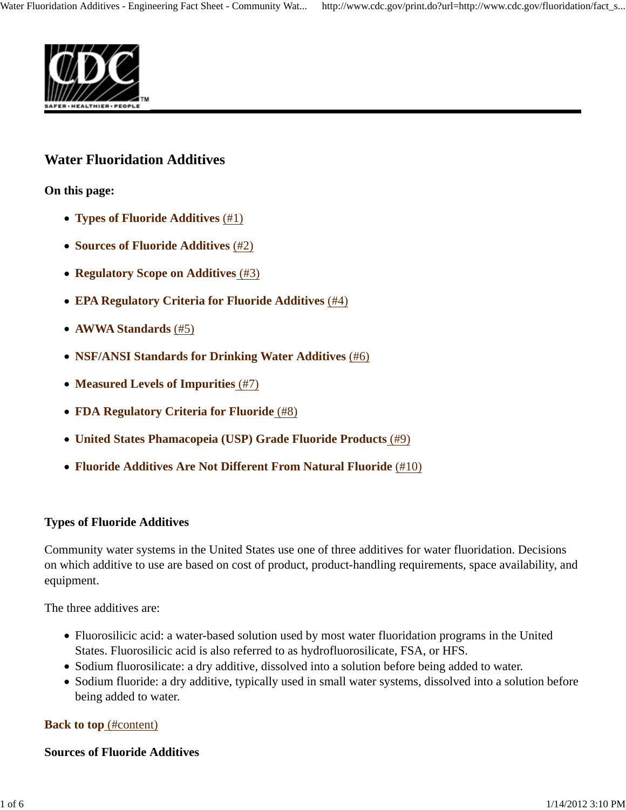

# **Water Fluoridation Additives**

**On this page:**

- **Types of Fluoride Additives** (#1)
- **Sources of Fluoride Additives** (#2)
- **Regulatory Scope on Additives** (#3)
- **EPA Regulatory Criteria for Fluoride Additives** (#4)
- **AWWA Standards** (#5)
- **NSF/ANSI Standards for Drinking Water Additives** (#6)
- **Measured Levels of Impurities** (#7)
- **FDA Regulatory Criteria for Fluoride** (#8)
- **United States Phamacopeia (USP) Grade Fluoride Products** (#9)
- **Fluoride Additives Are Not Different From Natural Fluoride** (#10)

### **Types of Fluoride Additives**

Community water systems in the United States use one of three additives for water fluoridation. Decisions on which additive to use are based on cost of product, product-handling requirements, space availability, and equipment.

The three additives are:

- Fluorosilicic acid: a water-based solution used by most water fluoridation programs in the United States. Fluorosilicic acid is also referred to as hydrofluorosilicate, FSA, or HFS.
- Sodium fluorosilicate: a dry additive, dissolved into a solution before being added to water.
- Sodium fluoride: a dry additive, typically used in small water systems, dissolved into a solution before being added to water.

### **Back to top** (#content)

### **Sources of Fluoride Additives**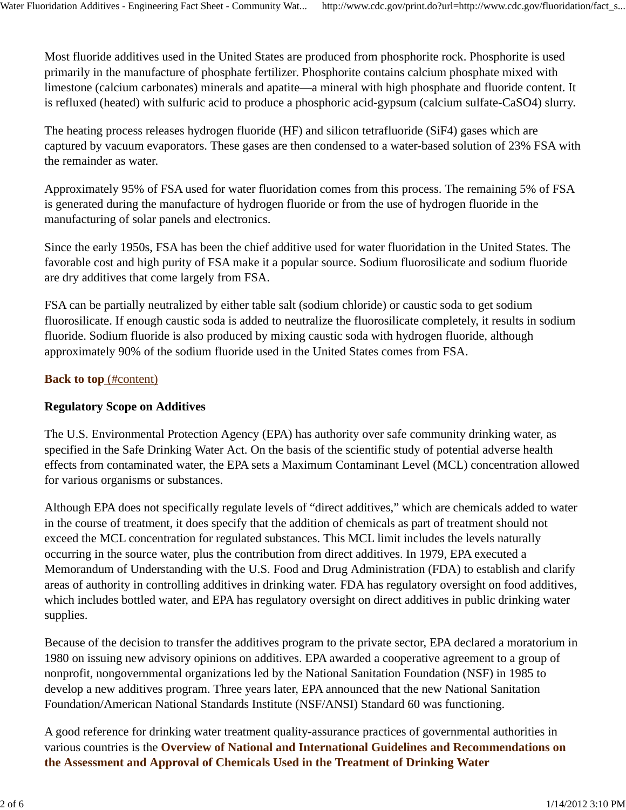Most fluoride additives used in the United States are produced from phosphorite rock. Phosphorite is used primarily in the manufacture of phosphate fertilizer. Phosphorite contains calcium phosphate mixed with limestone (calcium carbonates) minerals and apatite—a mineral with high phosphate and fluoride content. It is refluxed (heated) with sulfuric acid to produce a phosphoric acid-gypsum (calcium sulfate-CaSO4) slurry.

The heating process releases hydrogen fluoride (HF) and silicon tetrafluoride (SiF4) gases which are captured by vacuum evaporators. These gases are then condensed to a water-based solution of 23% FSA with the remainder as water.

Approximately 95% of FSA used for water fluoridation comes from this process. The remaining 5% of FSA is generated during the manufacture of hydrogen fluoride or from the use of hydrogen fluoride in the manufacturing of solar panels and electronics.

Since the early 1950s, FSA has been the chief additive used for water fluoridation in the United States. The favorable cost and high purity of FSA make it a popular source. Sodium fluorosilicate and sodium fluoride are dry additives that come largely from FSA.

FSA can be partially neutralized by either table salt (sodium chloride) or caustic soda to get sodium fluorosilicate. If enough caustic soda is added to neutralize the fluorosilicate completely, it results in sodium fluoride. Sodium fluoride is also produced by mixing caustic soda with hydrogen fluoride, although approximately 90% of the sodium fluoride used in the United States comes from FSA.

### **Back to top** (#content)

### **Regulatory Scope on Additives**

The U.S. Environmental Protection Agency (EPA) has authority over safe community drinking water, as specified in the Safe Drinking Water Act. On the basis of the scientific study of potential adverse health effects from contaminated water, the EPA sets a Maximum Contaminant Level (MCL) concentration allowed for various organisms or substances.

Although EPA does not specifically regulate levels of "direct additives," which are chemicals added to water in the course of treatment, it does specify that the addition of chemicals as part of treatment should not exceed the MCL concentration for regulated substances. This MCL limit includes the levels naturally occurring in the source water, plus the contribution from direct additives. In 1979, EPA executed a Memorandum of Understanding with the U.S. Food and Drug Administration (FDA) to establish and clarify areas of authority in controlling additives in drinking water. FDA has regulatory oversight on food additives, which includes bottled water, and EPA has regulatory oversight on direct additives in public drinking water supplies.

Because of the decision to transfer the additives program to the private sector, EPA declared a moratorium in 1980 on issuing new advisory opinions on additives. EPA awarded a cooperative agreement to a group of nonprofit, nongovernmental organizations led by the National Sanitation Foundation (NSF) in 1985 to develop a new additives program. Three years later, EPA announced that the new National Sanitation Foundation/American National Standards Institute (NSF/ANSI) Standard 60 was functioning.

A good reference for drinking water treatment quality-assurance practices of governmental authorities in various countries is the **Overview of National and International Guidelines and Recommendations on the Assessment and Approval of Chemicals Used in the Treatment of Drinking Water**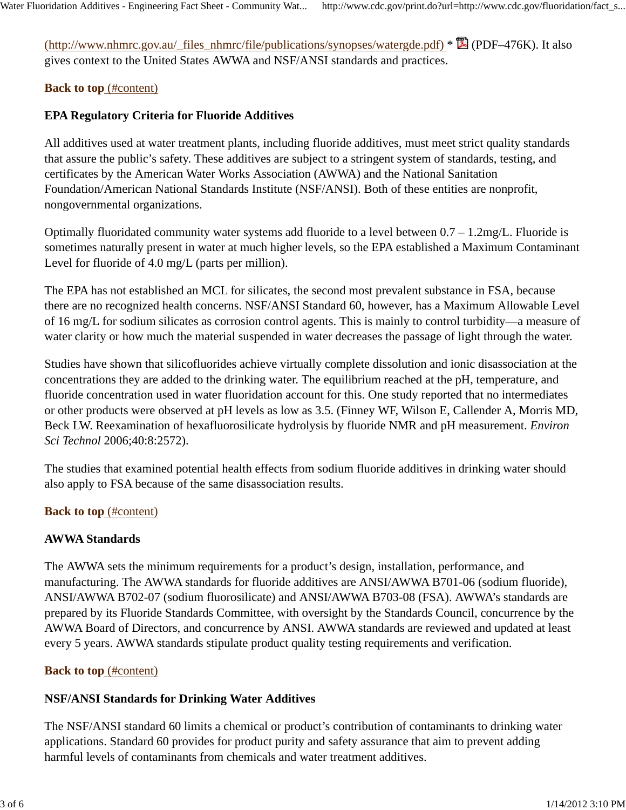(http://www.nhmrc.gov.au/\_files\_nhmrc/file/publications/synopses/watergde.pdf) \* (PDF–476K). It also gives context to the United States AWWA and NSF/ANSI standards and practices.

## **Back to top** (#content)

## **EPA Regulatory Criteria for Fluoride Additives**

All additives used at water treatment plants, including fluoride additives, must meet strict quality standards that assure the public's safety. These additives are subject to a stringent system of standards, testing, and certificates by the American Water Works Association (AWWA) and the National Sanitation Foundation/American National Standards Institute (NSF/ANSI). Both of these entities are nonprofit, nongovernmental organizations.

Optimally fluoridated community water systems add fluoride to a level between 0.7 – 1.2mg/L. Fluoride is sometimes naturally present in water at much higher levels, so the EPA established a Maximum Contaminant Level for fluoride of 4.0 mg/L (parts per million).

The EPA has not established an MCL for silicates, the second most prevalent substance in FSA, because there are no recognized health concerns. NSF/ANSI Standard 60, however, has a Maximum Allowable Level of 16 mg/L for sodium silicates as corrosion control agents. This is mainly to control turbidity—a measure of water clarity or how much the material suspended in water decreases the passage of light through the water.

Studies have shown that silicofluorides achieve virtually complete dissolution and ionic disassociation at the concentrations they are added to the drinking water. The equilibrium reached at the pH, temperature, and fluoride concentration used in water fluoridation account for this. One study reported that no intermediates or other products were observed at pH levels as low as 3.5. (Finney WF, Wilson E, Callender A, Morris MD, Beck LW. Reexamination of hexafluorosilicate hydrolysis by fluoride NMR and pH measurement. *Environ Sci Technol* 2006;40:8:2572).

The studies that examined potential health effects from sodium fluoride additives in drinking water should also apply to FSA because of the same disassociation results.

### **Back to top** (#content)

### **AWWA Standards**

The AWWA sets the minimum requirements for a product's design, installation, performance, and manufacturing. The AWWA standards for fluoride additives are ANSI/AWWA B701-06 (sodium fluoride), ANSI/AWWA B702-07 (sodium fluorosilicate) and ANSI/AWWA B703-08 (FSA). AWWA's standards are prepared by its Fluoride Standards Committee, with oversight by the Standards Council, concurrence by the AWWA Board of Directors, and concurrence by ANSI. AWWA standards are reviewed and updated at least every 5 years. AWWA standards stipulate product quality testing requirements and verification.

### **Back to top** (#content)

## **NSF/ANSI Standards for Drinking Water Additives**

The NSF/ANSI standard 60 limits a chemical or product's contribution of contaminants to drinking water applications. Standard 60 provides for product purity and safety assurance that aim to prevent adding harmful levels of contaminants from chemicals and water treatment additives.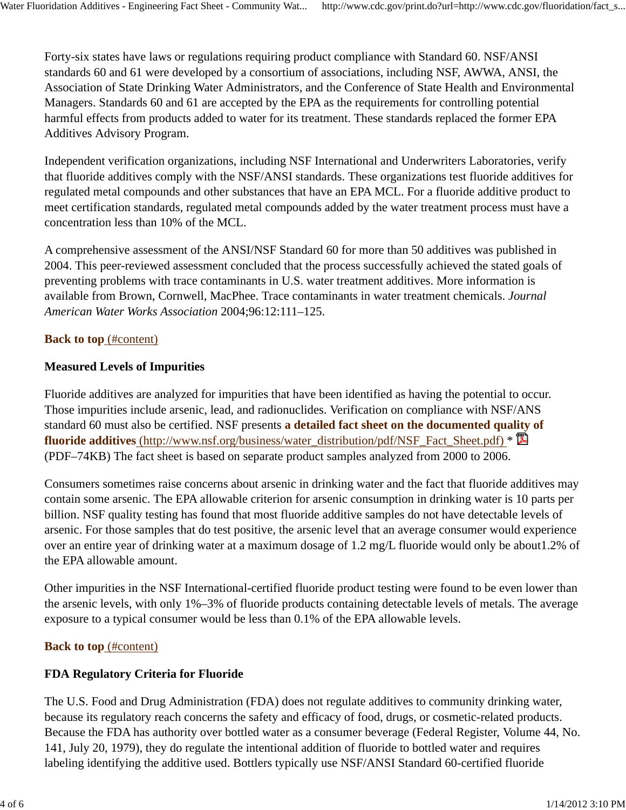Forty-six states have laws or regulations requiring product compliance with Standard 60. NSF/ANSI standards 60 and 61 were developed by a consortium of associations, including NSF, AWWA, ANSI, the Association of State Drinking Water Administrators, and the Conference of State Health and Environmental Managers. Standards 60 and 61 are accepted by the EPA as the requirements for controlling potential harmful effects from products added to water for its treatment. These standards replaced the former EPA Additives Advisory Program.

Independent verification organizations, including NSF International and Underwriters Laboratories, verify that fluoride additives comply with the NSF/ANSI standards. These organizations test fluoride additives for regulated metal compounds and other substances that have an EPA MCL. For a fluoride additive product to meet certification standards, regulated metal compounds added by the water treatment process must have a concentration less than 10% of the MCL.

A comprehensive assessment of the ANSI/NSF Standard 60 for more than 50 additives was published in 2004. This peer-reviewed assessment concluded that the process successfully achieved the stated goals of preventing problems with trace contaminants in U.S. water treatment additives. More information is available from Brown, Cornwell, MacPhee. Trace contaminants in water treatment chemicals. *Journal American Water Works Association* 2004;96:12:111–125.

### **Back to top** (#content)

### **Measured Levels of Impurities**

Fluoride additives are analyzed for impurities that have been identified as having the potential to occur. Those impurities include arsenic, lead, and radionuclides. Verification on compliance with NSF/ANS standard 60 must also be certified. NSF presents **a detailed fact sheet on the documented quality of** fluoride additives (http://www.nsf.org/business/water\_distribution/pdf/NSF\_Fact\_Sheet.pdf) \* (PDF–74KB) The fact sheet is based on separate product samples analyzed from 2000 to 2006.

Consumers sometimes raise concerns about arsenic in drinking water and the fact that fluoride additives may contain some arsenic. The EPA allowable criterion for arsenic consumption in drinking water is 10 parts per billion. NSF quality testing has found that most fluoride additive samples do not have detectable levels of arsenic. For those samples that do test positive, the arsenic level that an average consumer would experience over an entire year of drinking water at a maximum dosage of 1.2 mg/L fluoride would only be about1.2% of the EPA allowable amount.

Other impurities in the NSF International-certified fluoride product testing were found to be even lower than the arsenic levels, with only 1%–3% of fluoride products containing detectable levels of metals. The average exposure to a typical consumer would be less than 0.1% of the EPA allowable levels.

### **Back to top** (#content)

## **FDA Regulatory Criteria for Fluoride**

The U.S. Food and Drug Administration (FDA) does not regulate additives to community drinking water, because its regulatory reach concerns the safety and efficacy of food, drugs, or cosmetic-related products. Because the FDA has authority over bottled water as a consumer beverage (Federal Register, Volume 44, No. 141, July 20, 1979), they do regulate the intentional addition of fluoride to bottled water and requires labeling identifying the additive used. Bottlers typically use NSF/ANSI Standard 60-certified fluoride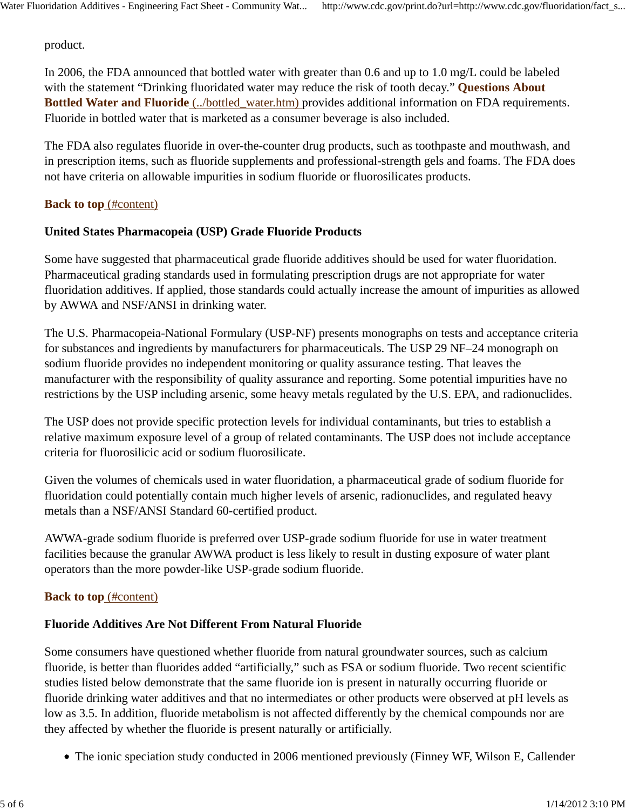product.

In 2006, the FDA announced that bottled water with greater than 0.6 and up to 1.0 mg/L could be labeled with the statement "Drinking fluoridated water may reduce the risk of tooth decay." **Questions About Bottled Water and Fluoride** (../bottled\_water.htm) provides additional information on FDA requirements. Fluoride in bottled water that is marketed as a consumer beverage is also included.

The FDA also regulates fluoride in over-the-counter drug products, such as toothpaste and mouthwash, and in prescription items, such as fluoride supplements and professional-strength gels and foams. The FDA does not have criteria on allowable impurities in sodium fluoride or fluorosilicates products.

#### **Back to top** (#content)

### **United States Pharmacopeia (USP) Grade Fluoride Products**

Some have suggested that pharmaceutical grade fluoride additives should be used for water fluoridation. Pharmaceutical grading standards used in formulating prescription drugs are not appropriate for water fluoridation additives. If applied, those standards could actually increase the amount of impurities as allowed by AWWA and NSF/ANSI in drinking water.

The U.S. Pharmacopeia-National Formulary (USP-NF) presents monographs on tests and acceptance criteria for substances and ingredients by manufacturers for pharmaceuticals. The USP 29 NF–24 monograph on sodium fluoride provides no independent monitoring or quality assurance testing. That leaves the manufacturer with the responsibility of quality assurance and reporting. Some potential impurities have no restrictions by the USP including arsenic, some heavy metals regulated by the U.S. EPA, and radionuclides.

The USP does not provide specific protection levels for individual contaminants, but tries to establish a relative maximum exposure level of a group of related contaminants. The USP does not include acceptance criteria for fluorosilicic acid or sodium fluorosilicate.

Given the volumes of chemicals used in water fluoridation, a pharmaceutical grade of sodium fluoride for fluoridation could potentially contain much higher levels of arsenic, radionuclides, and regulated heavy metals than a NSF/ANSI Standard 60-certified product.

AWWA-grade sodium fluoride is preferred over USP-grade sodium fluoride for use in water treatment facilities because the granular AWWA product is less likely to result in dusting exposure of water plant operators than the more powder-like USP-grade sodium fluoride.

### **Back to top** (#content)

### **Fluoride Additives Are Not Different From Natural Fluoride**

Some consumers have questioned whether fluoride from natural groundwater sources, such as calcium fluoride, is better than fluorides added "artificially," such as FSA or sodium fluoride. Two recent scientific studies listed below demonstrate that the same fluoride ion is present in naturally occurring fluoride or fluoride drinking water additives and that no intermediates or other products were observed at pH levels as low as 3.5. In addition, fluoride metabolism is not affected differently by the chemical compounds nor are they affected by whether the fluoride is present naturally or artificially.

• The ionic speciation study conducted in 2006 mentioned previously (Finney WF, Wilson E, Callender